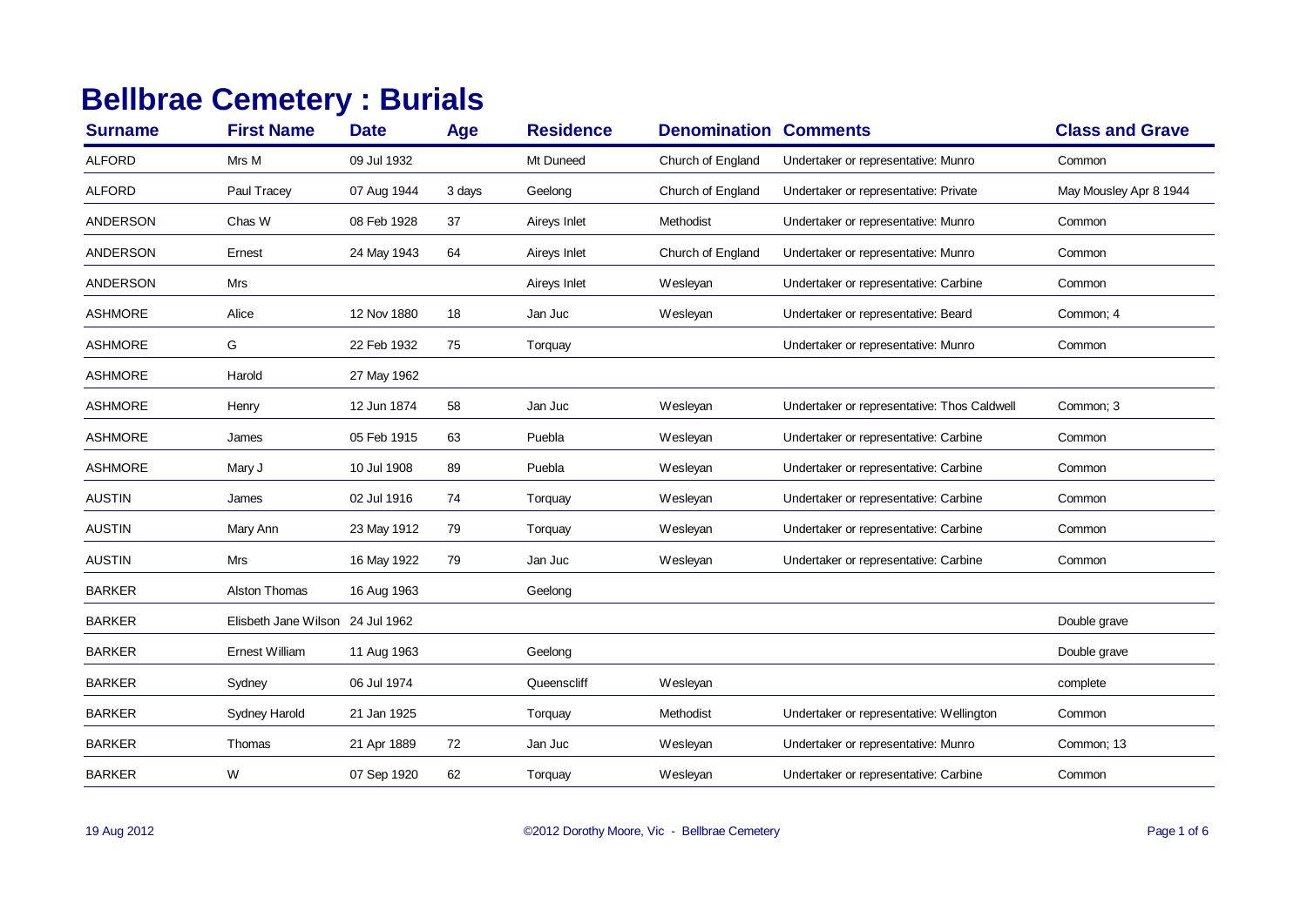## **Bellbrae Cemetery : Burials**

| <b>Surname</b>  | <b>First Name</b>                | <b>Date</b> | Age    | <b>Residence</b> | <b>Denomination Comments</b> |                                             | <b>Class and Grave</b> |
|-----------------|----------------------------------|-------------|--------|------------------|------------------------------|---------------------------------------------|------------------------|
| <b>ALFORD</b>   | Mrs M                            | 09 Jul 1932 |        | Mt Duneed        | Church of England            | Undertaker or representative: Munro         | Common                 |
| <b>ALFORD</b>   | Paul Tracey                      | 07 Aug 1944 | 3 days | Geelong          | Church of England            | Undertaker or representative: Private       | May Mousley Apr 8 1944 |
| <b>ANDERSON</b> | Chas W                           | 08 Feb 1928 | 37     | Aireys Inlet     | Methodist                    | Undertaker or representative: Munro         | Common                 |
| <b>ANDERSON</b> | Ernest                           | 24 May 1943 | 64     | Aireys Inlet     | Church of England            | Undertaker or representative: Munro         | Common                 |
| <b>ANDERSON</b> | Mrs                              |             |        | Aireys Inlet     | Wesleyan                     | Undertaker or representative: Carbine       | Common                 |
| <b>ASHMORE</b>  | Alice                            | 12 Nov 1880 | 18     | Jan Juc          | Wesleyan                     | Undertaker or representative: Beard         | Common; 4              |
| <b>ASHMORE</b>  | G                                | 22 Feb 1932 | 75     | Torquay          |                              | Undertaker or representative: Munro         | Common                 |
| <b>ASHMORE</b>  | Harold                           | 27 May 1962 |        |                  |                              |                                             |                        |
| <b>ASHMORE</b>  | Henry                            | 12 Jun 1874 | 58     | Jan Juc          | Wesleyan                     | Undertaker or representative: Thos Caldwell | Common: 3              |
| <b>ASHMORE</b>  | James                            | 05 Feb 1915 | 63     | Puebla           | Wesleyan                     | Undertaker or representative: Carbine       | Common                 |
| <b>ASHMORE</b>  | Mary J                           | 10 Jul 1908 | 89     | Puebla           | Wesleyan                     | Undertaker or representative: Carbine       | Common                 |
| <b>AUSTIN</b>   | James                            | 02 Jul 1916 | 74     | Torquay          | Wesleyan                     | Undertaker or representative: Carbine       | Common                 |
| <b>AUSTIN</b>   | Mary Ann                         | 23 May 1912 | 79     | Torquay          | Wesleyan                     | Undertaker or representative: Carbine       | Common                 |
| <b>AUSTIN</b>   | Mrs                              | 16 May 1922 | 79     | Jan Juc          | Wesleyan                     | Undertaker or representative: Carbine       | Common                 |
| <b>BARKER</b>   | Alston Thomas                    | 16 Aug 1963 |        | Geelong          |                              |                                             |                        |
| <b>BARKER</b>   | Elisbeth Jane Wilson 24 Jul 1962 |             |        |                  |                              |                                             | Double grave           |
| <b>BARKER</b>   | <b>Ernest William</b>            | 11 Aug 1963 |        | Geelong          |                              |                                             | Double grave           |
| <b>BARKER</b>   | Sydney                           | 06 Jul 1974 |        | Queenscliff      | Wesleyan                     |                                             | complete               |
| <b>BARKER</b>   | Sydney Harold                    | 21 Jan 1925 |        | Torquay          | Methodist                    | Undertaker or representative: Wellington    | Common                 |
| <b>BARKER</b>   | Thomas                           | 21 Apr 1889 | 72     | Jan Juc          | Wesleyan                     | Undertaker or representative: Munro         | Common; 13             |
| <b>BARKER</b>   | W                                | 07 Sep 1920 | 62     | Torquay          | Wesleyan                     | Undertaker or representative: Carbine       | Common                 |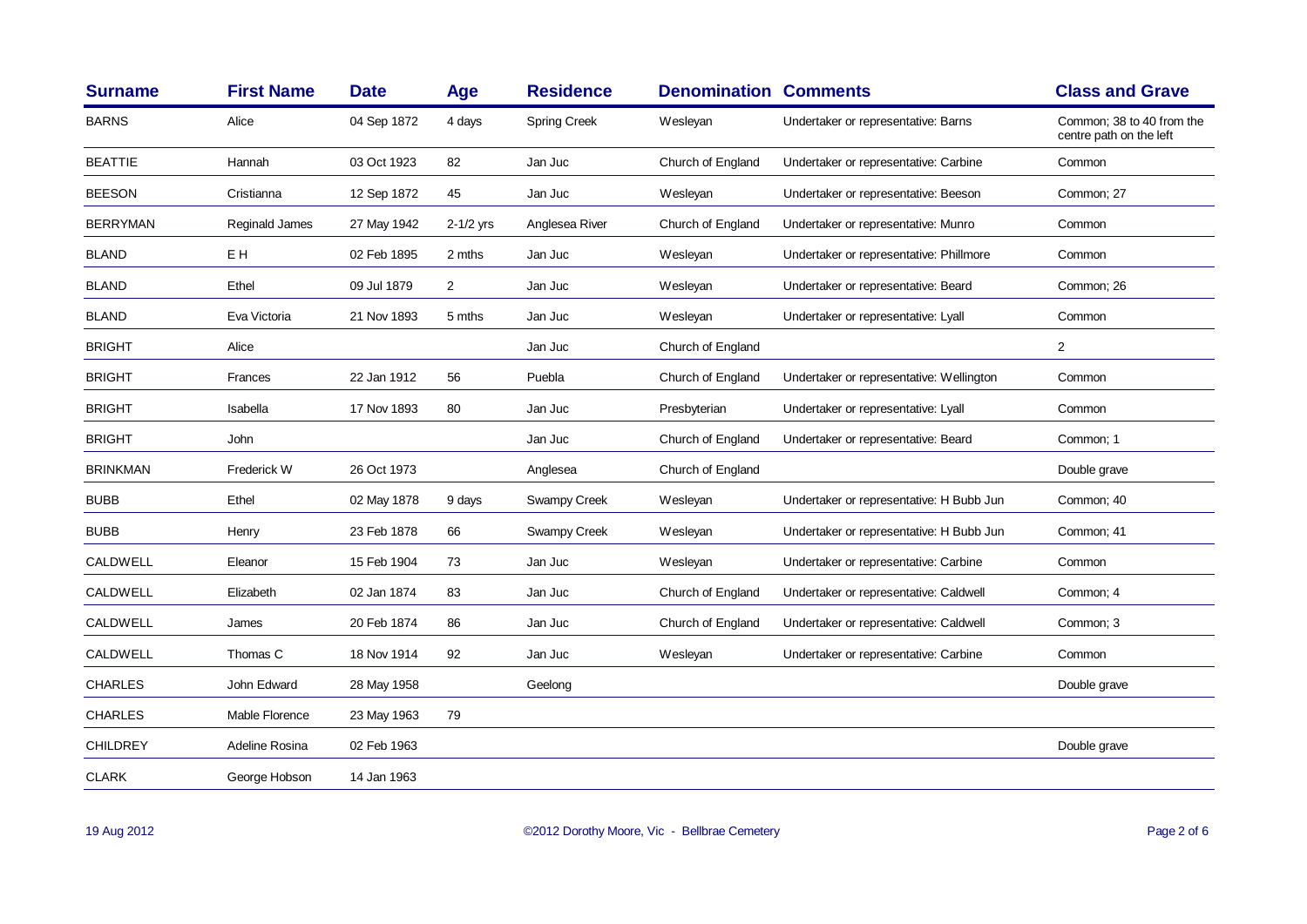| <b>Surname</b>  | <b>First Name</b> | <b>Date</b> | Age            | <b>Residence</b>    | <b>Denomination Comments</b> |                                          | <b>Class and Grave</b>                               |
|-----------------|-------------------|-------------|----------------|---------------------|------------------------------|------------------------------------------|------------------------------------------------------|
| <b>BARNS</b>    | Alice             | 04 Sep 1872 | 4 days         | <b>Spring Creek</b> | Wesleyan                     | Undertaker or representative: Barns      | Common; 38 to 40 from the<br>centre path on the left |
| <b>BEATTIE</b>  | Hannah            | 03 Oct 1923 | 82             | Jan Juc             | Church of England            | Undertaker or representative: Carbine    | Common                                               |
| <b>BEESON</b>   | Cristianna        | 12 Sep 1872 | 45             | Jan Juc             | Wesleyan                     | Undertaker or representative: Beeson     | Common; 27                                           |
| <b>BERRYMAN</b> | Reginald James    | 27 May 1942 | 2-1/2 yrs      | Anglesea River      | Church of England            | Undertaker or representative: Munro      | Common                                               |
| <b>BLAND</b>    | EH                | 02 Feb 1895 | 2 mths         | Jan Juc             | Wesleyan                     | Undertaker or representative: Phillmore  | Common                                               |
| <b>BLAND</b>    | Ethel             | 09 Jul 1879 | $\overline{2}$ | Jan Juc             | Wesleyan                     | Undertaker or representative: Beard      | Common: 26                                           |
| <b>BLAND</b>    | Eva Victoria      | 21 Nov 1893 | 5 mths         | Jan Juc             | Wesleyan                     | Undertaker or representative: Lyall      | Common                                               |
| <b>BRIGHT</b>   | Alice             |             |                | Jan Juc             | Church of England            |                                          | $\overline{2}$                                       |
| <b>BRIGHT</b>   | Frances           | 22 Jan 1912 | 56             | Puebla              | Church of England            | Undertaker or representative: Wellington | Common                                               |
| <b>BRIGHT</b>   | Isabella          | 17 Nov 1893 | 80             | Jan Juc             | Presbyterian                 | Undertaker or representative: Lyall      | Common                                               |
| <b>BRIGHT</b>   | John              |             |                | Jan Juc             | Church of England            | Undertaker or representative: Beard      | Common; 1                                            |
| <b>BRINKMAN</b> | Frederick W       | 26 Oct 1973 |                | Anglesea            | Church of England            |                                          | Double grave                                         |
| <b>BUBB</b>     | Ethel             | 02 May 1878 | 9 days         | Swampy Creek        | Wesleyan                     | Undertaker or representative: H Bubb Jun | Common; 40                                           |
| <b>BUBB</b>     | Henry             | 23 Feb 1878 | 66             | Swampy Creek        | Wesleyan                     | Undertaker or representative: H Bubb Jun | Common: 41                                           |
| <b>CALDWELL</b> | Eleanor           | 15 Feb 1904 | 73             | Jan Juc             | Wesleyan                     | Undertaker or representative: Carbine    | Common                                               |
| CALDWELL        | Elizabeth         | 02 Jan 1874 | 83             | Jan Juc             | Church of England            | Undertaker or representative: Caldwell   | Common; 4                                            |
| CALDWELL        | James             | 20 Feb 1874 | 86             | Jan Juc             | Church of England            | Undertaker or representative: Caldwell   | Common; 3                                            |
| CALDWELL        | Thomas C          | 18 Nov 1914 | 92             | Jan Juc             | Wesleyan                     | Undertaker or representative: Carbine    | Common                                               |
| <b>CHARLES</b>  | John Edward       | 28 May 1958 |                | Geelong             |                              |                                          | Double grave                                         |
| <b>CHARLES</b>  | Mable Florence    | 23 May 1963 | 79             |                     |                              |                                          |                                                      |
| <b>CHILDREY</b> | Adeline Rosina    | 02 Feb 1963 |                |                     |                              |                                          | Double grave                                         |
| <b>CLARK</b>    | George Hobson     | 14 Jan 1963 |                |                     |                              |                                          |                                                      |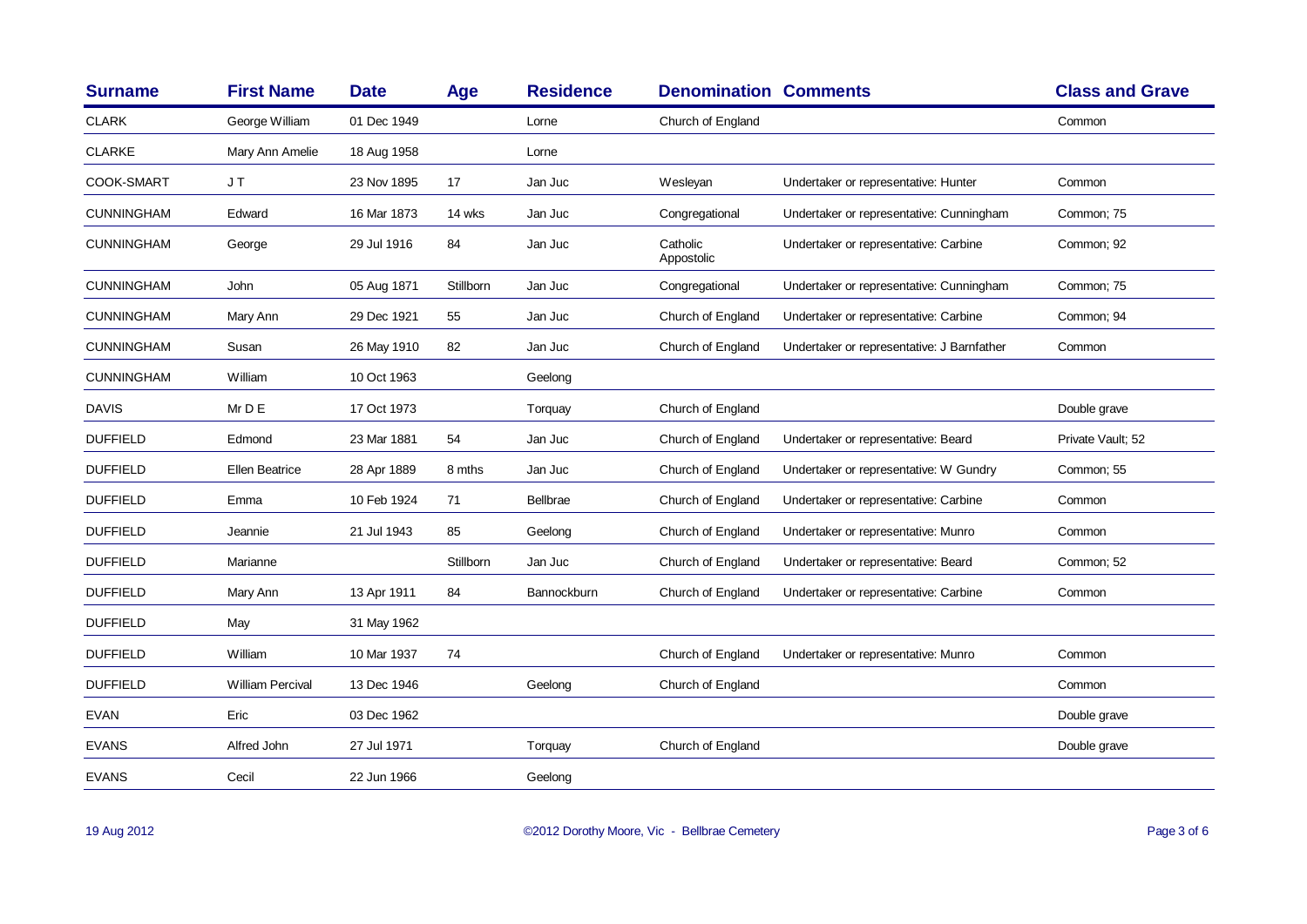| <b>Surname</b>    | <b>First Name</b>       | <b>Date</b> | Age       | <b>Residence</b> | <b>Denomination Comments</b> |                                            | <b>Class and Grave</b> |
|-------------------|-------------------------|-------------|-----------|------------------|------------------------------|--------------------------------------------|------------------------|
| <b>CLARK</b>      | George William          | 01 Dec 1949 |           | Lorne            | Church of England            |                                            | Common                 |
| <b>CLARKE</b>     | Mary Ann Amelie         | 18 Aug 1958 |           | Lorne            |                              |                                            |                        |
| COOK-SMART        | JT                      | 23 Nov 1895 | 17        | Jan Juc          | Wesleyan                     | Undertaker or representative: Hunter       | Common                 |
| <b>CUNNINGHAM</b> | Edward                  | 16 Mar 1873 | 14 wks    | Jan Juc          | Congregational               | Undertaker or representative: Cunningham   | Common; 75             |
| <b>CUNNINGHAM</b> | George                  | 29 Jul 1916 | 84        | Jan Juc          | Catholic<br>Appostolic       | Undertaker or representative: Carbine      | Common; 92             |
| <b>CUNNINGHAM</b> | John                    | 05 Aug 1871 | Stillborn | Jan Juc          | Congregational               | Undertaker or representative: Cunningham   | Common: 75             |
| <b>CUNNINGHAM</b> | Mary Ann                | 29 Dec 1921 | 55        | Jan Juc          | Church of England            | Undertaker or representative: Carbine      | Common; 94             |
| <b>CUNNINGHAM</b> | Susan                   | 26 May 1910 | 82        | Jan Juc          | Church of England            | Undertaker or representative: J Barnfather | Common                 |
| <b>CUNNINGHAM</b> | William                 | 10 Oct 1963 |           | Geelong          |                              |                                            |                        |
| <b>DAVIS</b>      | Mr D E                  | 17 Oct 1973 |           | Torquay          | Church of England            |                                            | Double grave           |
| <b>DUFFIELD</b>   | Edmond                  | 23 Mar 1881 | 54        | Jan Juc          | Church of England            | Undertaker or representative: Beard        | Private Vault; 52      |
| <b>DUFFIELD</b>   | Ellen Beatrice          | 28 Apr 1889 | 8 mths    | Jan Juc          | Church of England            | Undertaker or representative: W Gundry     | Common; 55             |
| <b>DUFFIELD</b>   | Emma                    | 10 Feb 1924 | 71        | Bellbrae         | Church of England            | Undertaker or representative: Carbine      | Common                 |
| <b>DUFFIELD</b>   | Jeannie                 | 21 Jul 1943 | 85        | Geelong          | Church of England            | Undertaker or representative: Munro        | Common                 |
| <b>DUFFIELD</b>   | Marianne                |             | Stillborn | Jan Juc          | Church of England            | Undertaker or representative: Beard        | Common: 52             |
| <b>DUFFIELD</b>   | Mary Ann                | 13 Apr 1911 | 84        | Bannockburn      | Church of England            | Undertaker or representative: Carbine      | Common                 |
| <b>DUFFIELD</b>   | May                     | 31 May 1962 |           |                  |                              |                                            |                        |
| <b>DUFFIELD</b>   | William                 | 10 Mar 1937 | 74        |                  | Church of England            | Undertaker or representative: Munro        | Common                 |
| <b>DUFFIELD</b>   | <b>William Percival</b> | 13 Dec 1946 |           | Geelong          | Church of England            |                                            | Common                 |
| <b>EVAN</b>       | Eric                    | 03 Dec 1962 |           |                  |                              |                                            | Double grave           |
| <b>EVANS</b>      | Alfred John             | 27 Jul 1971 |           | Torquay          | Church of England            |                                            | Double grave           |
| <b>EVANS</b>      | Cecil                   | 22 Jun 1966 |           | Geelong          |                              |                                            |                        |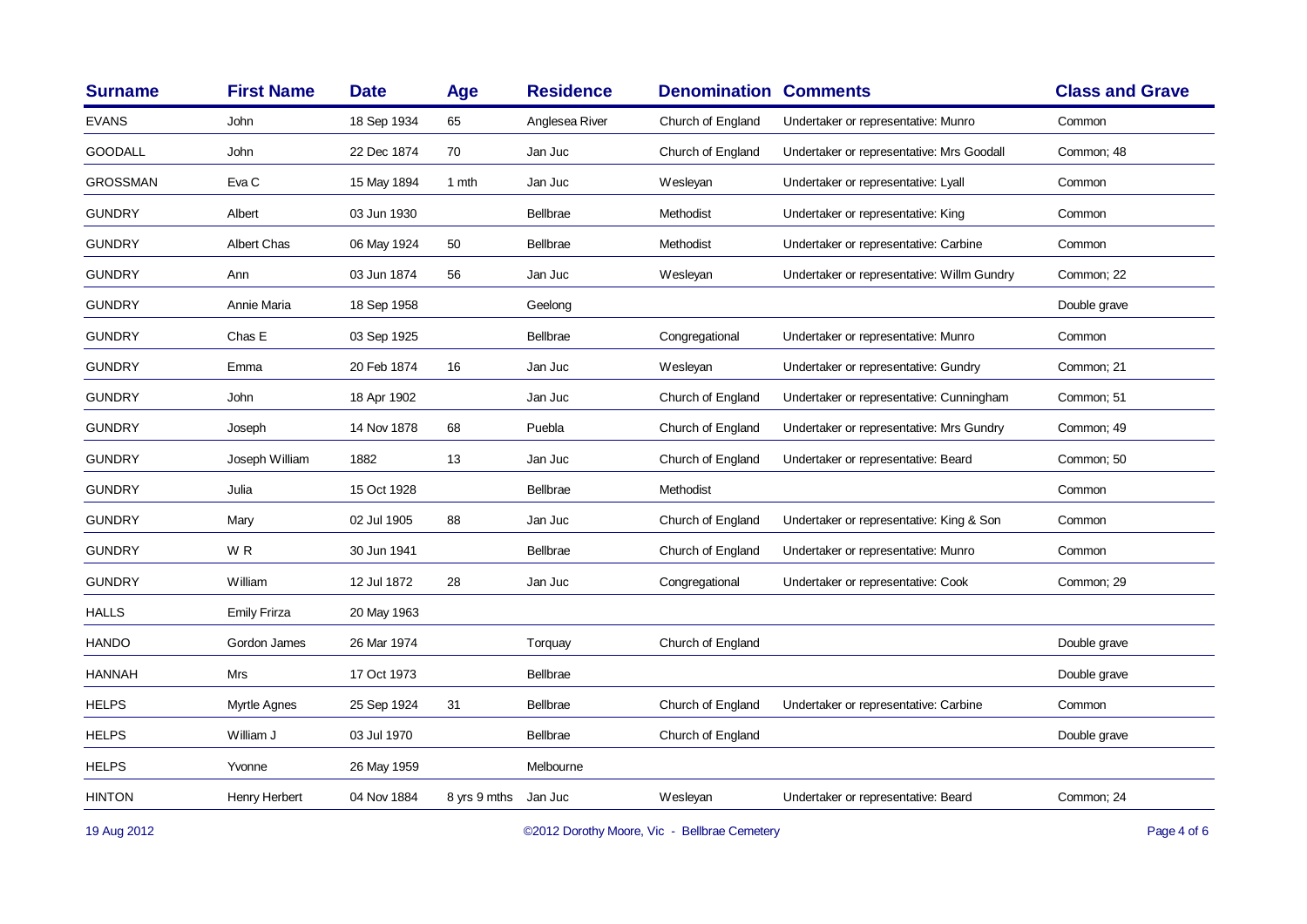| <b>Surname</b>  | <b>First Name</b>   | <b>Date</b> | Age          | <b>Residence</b> | <b>Denomination Comments</b> |                                            | <b>Class and Grave</b> |
|-----------------|---------------------|-------------|--------------|------------------|------------------------------|--------------------------------------------|------------------------|
| <b>EVANS</b>    | John                | 18 Sep 1934 | 65           | Anglesea River   | Church of England            | Undertaker or representative: Munro        | Common                 |
| <b>GOODALL</b>  | John                | 22 Dec 1874 | 70           | Jan Juc          | Church of England            | Undertaker or representative: Mrs Goodall  | Common; 48             |
| <b>GROSSMAN</b> | Eva C               | 15 May 1894 | 1 mth        | Jan Juc          | Wesleyan                     | Undertaker or representative: Lyall        | Common                 |
| <b>GUNDRY</b>   | Albert              | 03 Jun 1930 |              | Bellbrae         | Methodist                    | Undertaker or representative: King         | Common                 |
| <b>GUNDRY</b>   | Albert Chas         | 06 May 1924 | 50           | Bellbrae         | Methodist                    | Undertaker or representative: Carbine      | Common                 |
| <b>GUNDRY</b>   | Ann                 | 03 Jun 1874 | 56           | Jan Juc          | Wesleyan                     | Undertaker or representative: Willm Gundry | Common; 22             |
| <b>GUNDRY</b>   | Annie Maria         | 18 Sep 1958 |              | Geelong          |                              |                                            | Double grave           |
| <b>GUNDRY</b>   | Chas E              | 03 Sep 1925 |              | Bellbrae         | Congregational               | Undertaker or representative: Munro        | Common                 |
| <b>GUNDRY</b>   | Emma                | 20 Feb 1874 | 16           | Jan Juc          | Wesleyan                     | Undertaker or representative: Gundry       | Common; 21             |
| <b>GUNDRY</b>   | John                | 18 Apr 1902 |              | Jan Juc          | Church of England            | Undertaker or representative: Cunningham   | Common; 51             |
| <b>GUNDRY</b>   | Joseph              | 14 Nov 1878 | 68           | Puebla           | Church of England            | Undertaker or representative: Mrs Gundry   | Common; 49             |
| <b>GUNDRY</b>   | Joseph William      | 1882        | 13           | Jan Juc          | Church of England            | Undertaker or representative: Beard        | Common; 50             |
| <b>GUNDRY</b>   | Julia               | 15 Oct 1928 |              | Bellbrae         | Methodist                    |                                            | Common                 |
| <b>GUNDRY</b>   | Mary                | 02 Jul 1905 | 88           | Jan Juc          | Church of England            | Undertaker or representative: King & Son   | Common                 |
| <b>GUNDRY</b>   | W <sub>R</sub>      | 30 Jun 1941 |              | Bellbrae         | Church of England            | Undertaker or representative: Munro        | Common                 |
| <b>GUNDRY</b>   | William             | 12 Jul 1872 | 28           | Jan Juc          | Congregational               | Undertaker or representative: Cook         | Common; 29             |
| <b>HALLS</b>    | <b>Emily Frirza</b> | 20 May 1963 |              |                  |                              |                                            |                        |
| <b>HANDO</b>    | Gordon James        | 26 Mar 1974 |              | Torquay          | Church of England            |                                            | Double grave           |
| <b>HANNAH</b>   | Mrs                 | 17 Oct 1973 |              | Bellbrae         |                              |                                            | Double grave           |
| <b>HELPS</b>    | Myrtle Agnes        | 25 Sep 1924 | 31           | Bellbrae         | Church of England            | Undertaker or representative: Carbine      | Common                 |
| <b>HELPS</b>    | William J           | 03 Jul 1970 |              | Bellbrae         | Church of England            |                                            | Double grave           |
| <b>HELPS</b>    | Yvonne              | 26 May 1959 |              | Melbourne        |                              |                                            |                        |
| <b>HINTON</b>   | Henry Herbert       | 04 Nov 1884 | 8 yrs 9 mths | Jan Juc          | Wesleyan                     | Undertaker or representative: Beard        | Common; 24             |
|                 |                     |             |              |                  |                              |                                            |                        |

19 Aug 2012 COMEX COMEX COMEX COMEX CONTROLLEY CONTROLLEY CONTROLLEY CONTROLLEY CONTROLLEY CONTROLLEY CONTROLLEY CONTROLLEY CONTROLLEY CONTROLLEY CONTROLLEY CONTROLLEY CONTROLLEY CONTROLLEY CONTROLLEY CONTROLLEY CONTROLLEY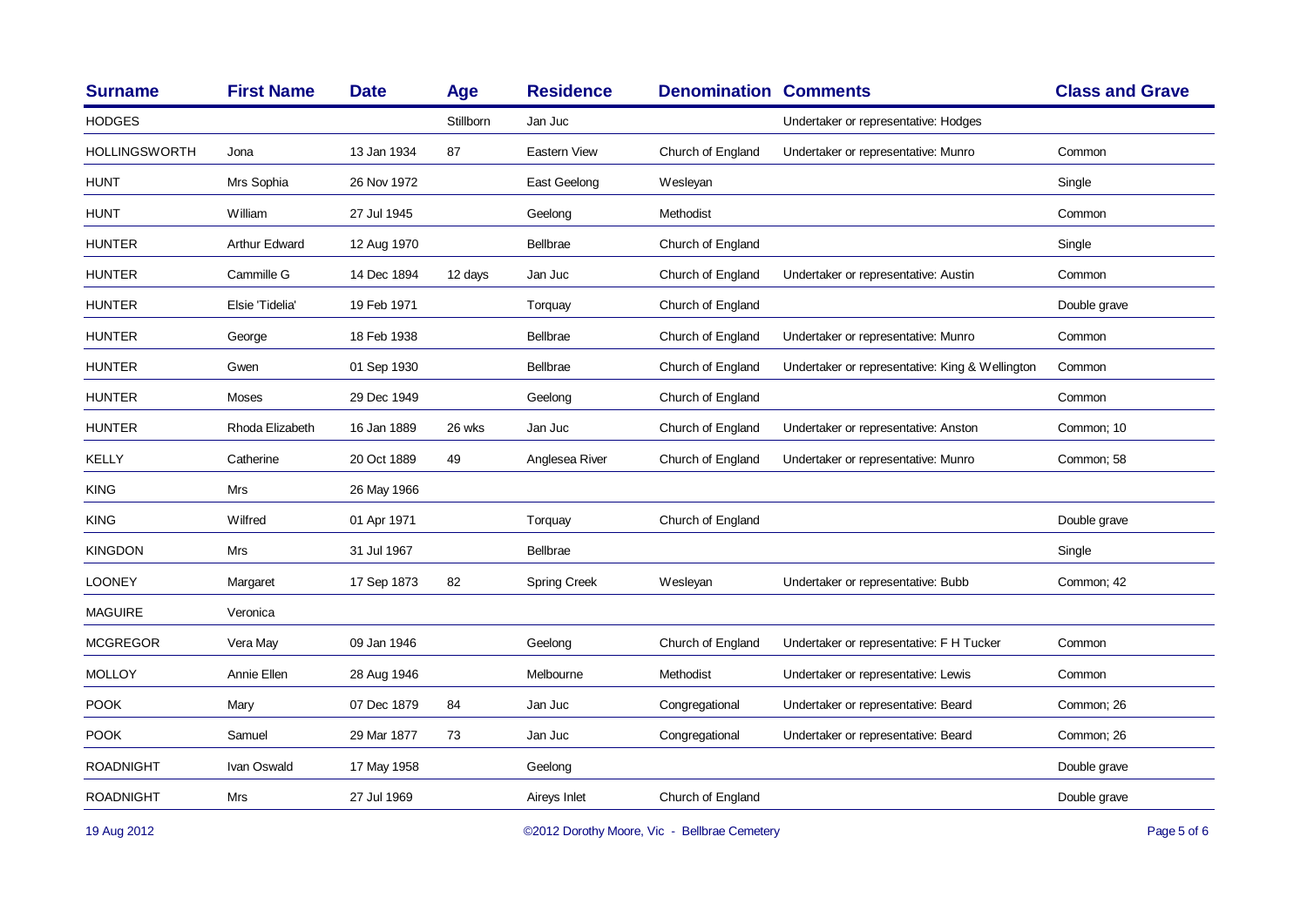| <b>Surname</b>   | <b>First Name</b> | <b>Date</b> | Age       | <b>Residence</b>    | <b>Denomination Comments</b> |                                                 | <b>Class and Grave</b> |
|------------------|-------------------|-------------|-----------|---------------------|------------------------------|-------------------------------------------------|------------------------|
| <b>HODGES</b>    |                   |             | Stillborn | Jan Juc             |                              | Undertaker or representative: Hodges            |                        |
| HOLLINGSWORTH    | Jona              | 13 Jan 1934 | 87        | Eastern View        | Church of England            | Undertaker or representative: Munro             | Common                 |
| <b>HUNT</b>      | Mrs Sophia        | 26 Nov 1972 |           | East Geelong        | Wesleyan                     |                                                 | Single                 |
| <b>HUNT</b>      | William           | 27 Jul 1945 |           | Geelong             | Methodist                    |                                                 | Common                 |
| <b>HUNTER</b>    | Arthur Edward     | 12 Aug 1970 |           | Bellbrae            | Church of England            |                                                 | Single                 |
| <b>HUNTER</b>    | Cammille G        | 14 Dec 1894 | 12 days   | Jan Juc             | Church of England            | Undertaker or representative: Austin            | Common                 |
| <b>HUNTER</b>    | Elsie 'Tidelia'   | 19 Feb 1971 |           | Torquay             | Church of England            |                                                 | Double grave           |
| <b>HUNTER</b>    | George            | 18 Feb 1938 |           | <b>Bellbrae</b>     | Church of England            | Undertaker or representative: Munro             | Common                 |
| <b>HUNTER</b>    | Gwen              | 01 Sep 1930 |           | <b>Bellbrae</b>     | Church of England            | Undertaker or representative: King & Wellington | Common                 |
| <b>HUNTER</b>    | Moses             | 29 Dec 1949 |           | Geelong             | Church of England            |                                                 | Common                 |
| <b>HUNTER</b>    | Rhoda Elizabeth   | 16 Jan 1889 | 26 wks    | Jan Juc             | Church of England            | Undertaker or representative: Anston            | Common; 10             |
| KELLY            | Catherine         | 20 Oct 1889 | 49        | Anglesea River      | Church of England            | Undertaker or representative: Munro             | Common; 58             |
| <b>KING</b>      | <b>Mrs</b>        | 26 May 1966 |           |                     |                              |                                                 |                        |
| <b>KING</b>      | Wilfred           | 01 Apr 1971 |           | Torquay             | Church of England            |                                                 | Double grave           |
| <b>KINGDON</b>   | Mrs               | 31 Jul 1967 |           | <b>Bellbrae</b>     |                              |                                                 | Single                 |
| <b>LOONEY</b>    | Margaret          | 17 Sep 1873 | 82        | <b>Spring Creek</b> | Wesleyan                     | Undertaker or representative: Bubb              | Common; 42             |
| <b>MAGUIRE</b>   | Veronica          |             |           |                     |                              |                                                 |                        |
| <b>MCGREGOR</b>  | Vera May          | 09 Jan 1946 |           | Geelong             | Church of England            | Undertaker or representative: F H Tucker        | Common                 |
| <b>MOLLOY</b>    | Annie Ellen       | 28 Aug 1946 |           | Melbourne           | Methodist                    | Undertaker or representative: Lewis             | Common                 |
| <b>POOK</b>      | Mary              | 07 Dec 1879 | 84        | Jan Juc             | Congregational               | Undertaker or representative: Beard             | Common; 26             |
| <b>POOK</b>      | Samuel            | 29 Mar 1877 | 73        | Jan Juc             | Congregational               | Undertaker or representative: Beard             | Common; 26             |
| <b>ROADNIGHT</b> | Ivan Oswald       | 17 May 1958 |           | Geelong             |                              |                                                 | Double grave           |
| <b>ROADNIGHT</b> | Mrs               | 27 Jul 1969 |           | Aireys Inlet        | Church of England            |                                                 | Double grave           |
|                  |                   |             |           |                     |                              |                                                 |                        |

19 Aug 2012 COMEX COMEX COMEX COMEX COMEX COMEX COMEX COMEX COMEX COMEX COMEX COMEX COMEX COMEX COMEX COMEX COMEX COMEX COMEX COMEX COMEX COMEX COMEX COMEX COMEX COMEX COMEX COMEX COMEX COMEX COMEX COMEX COMEX COMEX COMEX